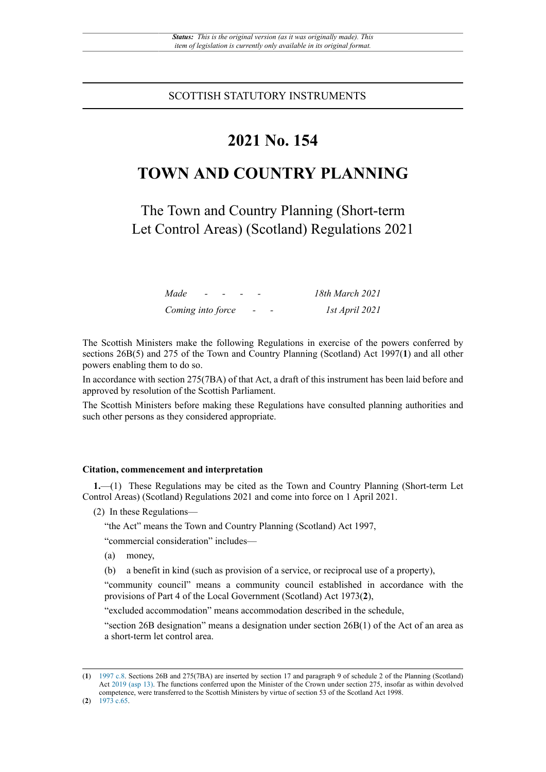### SCOTTISH STATUTORY INSTRUMENTS

# **2021 No. 154**

# **TOWN AND COUNTRY PLANNING**

The Town and Country Planning (Short-term Let Control Areas) (Scotland) Regulations 2021

| Made              | $\sim$ |  |  | 18th March 2021 |
|-------------------|--------|--|--|-----------------|
| Coming into force |        |  |  | 1st April 2021  |

The Scottish Ministers make the following Regulations in exercise of the powers conferred by sections 26B(5) and 275 of the Town and Country Planning (Scotland) Act 1997(**1**) and all other powers enabling them to do so.

In accordance with section 275(7BA) of that Act, a draft of this instrument has been laid before and approved by resolution of the Scottish Parliament.

The Scottish Ministers before making these Regulations have consulted planning authorities and such other persons as they considered appropriate.

#### **Citation, commencement and interpretation**

**1.**—(1) These Regulations may be cited as the Town and Country Planning (Short-term Let Control Areas) (Scotland) Regulations 2021 and come into force on 1 April 2021.

(2) In these Regulations—

"the Act" means the Town and Country Planning (Scotland) Act 1997,

"commercial consideration" includes—

- (a) money,
- (b) a benefit in kind (such as provision of a service, or reciprocal use of a property),

"community council" means a community council established in accordance with the provisions of Part 4 of the Local Government (Scotland) Act 1973(**2**),

"excluded accommodation" means accommodation described in the schedule,

"section 26B designation" means a designation under section 26B(1) of the Act of an area as a short-term let control area.

<sup>(</sup>**1**) [1997 c.8.](http://www.legislation.gov.uk/id/ukpga/1997/8) Sections 26B and 275(7BA) are inserted by section 17 and paragraph 9 of schedule 2 of the Planning (Scotland) Act [2019 \(asp 13\).](http://www.legislation.gov.uk/id/asp/2019/13) The functions conferred upon the Minister of the Crown under section 275, insofar as within devolved competence, were transferred to the Scottish Ministers by virtue of section 53 of the Scotland Act 1998.

<sup>(</sup>**2**) [1973 c.65.](http://www.legislation.gov.uk/id/ukpga/1973/65)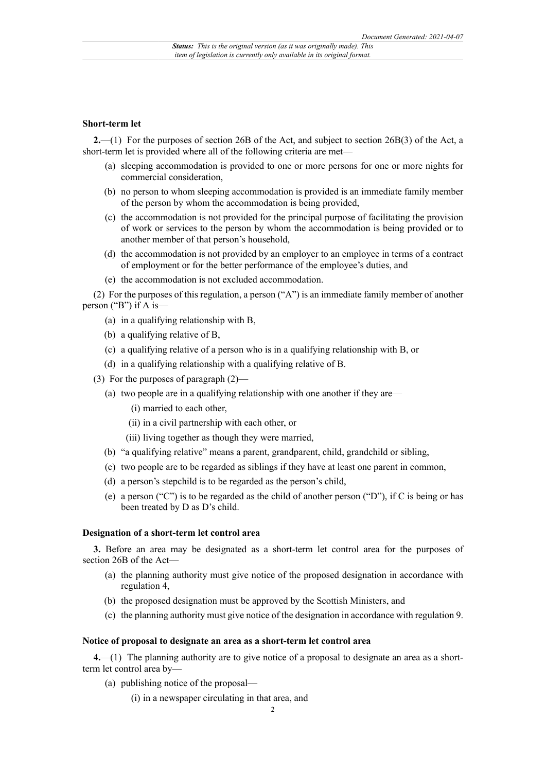#### **Short-term let**

**2.**—(1) For the purposes of section 26B of the Act, and subject to section 26B(3) of the Act, a short-term let is provided where all of the following criteria are met—

- (a) sleeping accommodation is provided to one or more persons for one or more nights for commercial consideration,
- (b) no person to whom sleeping accommodation is provided is an immediate family member of the person by whom the accommodation is being provided,
- (c) the accommodation is not provided for the principal purpose of facilitating the provision of work or services to the person by whom the accommodation is being provided or to another member of that person's household,
- (d) the accommodation is not provided by an employer to an employee in terms of a contract of employment or for the better performance of the employee's duties, and
- (e) the accommodation is not excluded accommodation.

(2) For the purposes of this regulation, a person ("A") is an immediate family member of another person ("B") if A is—

- (a) in a qualifying relationship with B,
- (b) a qualifying relative of B,
- (c) a qualifying relative of a person who is in a qualifying relationship with B, or
- (d) in a qualifying relationship with a qualifying relative of B.
- (3) For the purposes of paragraph (2)—
	- (a) two people are in a qualifying relationship with one another if they are—
		- (i) married to each other,
		- (ii) in a civil partnership with each other, or
		- (iii) living together as though they were married,
	- (b) "a qualifying relative" means a parent, grandparent, child, grandchild or sibling,
	- (c) two people are to be regarded as siblings if they have at least one parent in common,
	- (d) a person's stepchild is to be regarded as the person's child,
	- (e) a person ("C") is to be regarded as the child of another person ("D"), if C is being or has been treated by D as D's child.

#### **Designation of a short-term let control area**

**3.** Before an area may be designated as a short-term let control area for the purposes of section 26B of the Act—

- (a) the planning authority must give notice of the proposed designation in accordance with regulation 4,
- (b) the proposed designation must be approved by the Scottish Ministers, and
- (c) the planning authority must give notice of the designation in accordance with regulation 9.

#### **Notice of proposal to designate an area as a short-term let control area**

**4.**—(1) The planning authority are to give notice of a proposal to designate an area as a shortterm let control area by—

- (a) publishing notice of the proposal—
	- (i) in a newspaper circulating in that area, and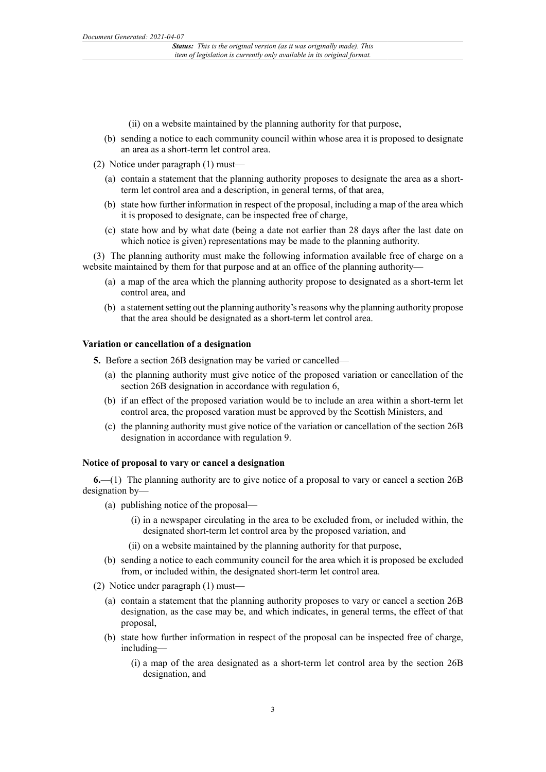(ii) on a website maintained by the planning authority for that purpose,

- (b) sending a notice to each community council within whose area it is proposed to designate an area as a short-term let control area.
- (2) Notice under paragraph  $(1)$  must-
	- (a) contain a statement that the planning authority proposes to designate the area as a shortterm let control area and a description, in general terms, of that area,
	- (b) state how further information in respect of the proposal, including a map of the area which it is proposed to designate, can be inspected free of charge,
	- (c) state how and by what date (being a date not earlier than 28 days after the last date on which notice is given) representations may be made to the planning authority.

(3) The planning authority must make the following information available free of charge on a website maintained by them for that purpose and at an office of the planning authority—

- (a) a map of the area which the planning authority propose to designated as a short-term let control area, and
- (b) a statement setting out the planning authority's reasons why the planning authority propose that the area should be designated as a short-term let control area.

#### **Variation or cancellation of a designation**

**5.** Before a section 26B designation may be varied or cancelled—

- (a) the planning authority must give notice of the proposed variation or cancellation of the section 26B designation in accordance with regulation 6,
- (b) if an effect of the proposed variation would be to include an area within a short-term let control area, the proposed varation must be approved by the Scottish Ministers, and
- (c) the planning authority must give notice of the variation or cancellation of the section 26B designation in accordance with regulation 9.

#### **Notice of proposal to vary or cancel a designation**

**6.**—(1) The planning authority are to give notice of a proposal to vary or cancel a section 26B designation by—

- (a) publishing notice of the proposal—
	- (i) in a newspaper circulating in the area to be excluded from, or included within, the designated short-term let control area by the proposed variation, and
	- (ii) on a website maintained by the planning authority for that purpose,
- (b) sending a notice to each community council for the area which it is proposed be excluded from, or included within, the designated short-term let control area.
- (2) Notice under paragraph (1) must—
	- (a) contain a statement that the planning authority proposes to vary or cancel a section 26B designation, as the case may be, and which indicates, in general terms, the effect of that proposal,
	- (b) state how further information in respect of the proposal can be inspected free of charge, including—
		- (i) a map of the area designated as a short-term let control area by the section 26B designation, and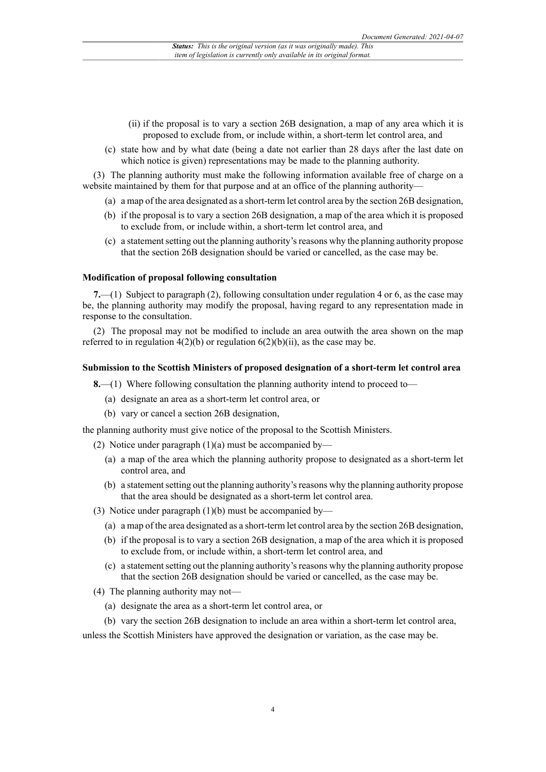- (ii) if the proposal is to vary a section 26B designation, a map of any area which it is proposed to exclude from, or include within, a short-term let control area, and
- (c) state how and by what date (being a date not earlier than 28 days after the last date on which notice is given) representations may be made to the planning authority.

(3) The planning authority must make the following information available free of charge on a website maintained by them for that purpose and at an office of the planning authority—

- (a) a map of the area designated as a short-term let control area by the section 26B designation,
- (b) if the proposal is to vary a section 26B designation, a map of the area which it is proposed to exclude from, or include within, a short-term let control area, and
- (c) a statementsetting out the planning authority'sreasons why the planning authority propose that the section 26B designation should be varied or cancelled, as the case may be.

#### **Modification of proposal following consultation**

**7.**—(1) Subject to paragraph (2), following consultation under regulation 4 or 6, as the case may be, the planning authority may modify the proposal, having regard to any representation made in response to the consultation.

(2) The proposal may not be modified to include an area outwith the area shown on the map referred to in regulation  $4(2)(b)$  or regulation  $6(2)(b)(ii)$ , as the case may be.

#### **Submission to the Scottish Ministers of proposed designation of a short-term let control area**

**8.**—(1) Where following consultation the planning authority intend to proceed to—

- (a) designate an area as a short-term let control area, or
- (b) vary or cancel a section 26B designation,

the planning authority must give notice of the proposal to the Scottish Ministers.

(2) Notice under paragraph (1)(a) must be accompanied by—

- (a) a map of the area which the planning authority propose to designated as a short-term let control area, and
- (b) a statement setting out the planning authority's reasons why the planning authority propose that the area should be designated as a short-term let control area.
- (3) Notice under paragraph (1)(b) must be accompanied by—
	- (a) a map of the area designated as a short-term let control area by the section 26B designation,
	- (b) if the proposal is to vary a section 26B designation, a map of the area which it is proposed to exclude from, or include within, a short-term let control area, and
	- (c) a statement setting out the planning authority's reasons why the planning authority propose that the section 26B designation should be varied or cancelled, as the case may be.
- (4) The planning authority may not—
	- (a) designate the area as a short-term let control area, or
	- (b) vary the section 26B designation to include an area within a short-term let control area,

unless the Scottish Ministers have approved the designation or variation, as the case may be.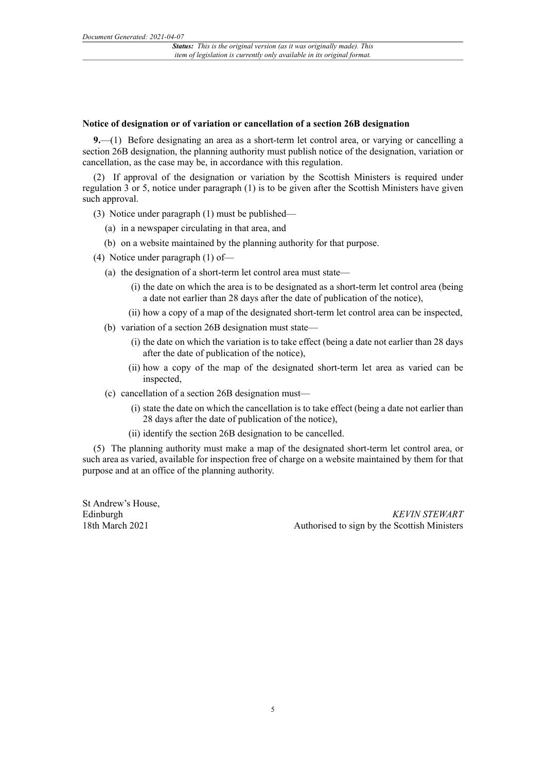#### **Notice of designation or of variation or cancellation of a section 26B designation**

**9.**—(1) Before designating an area as a short-term let control area, or varying or cancelling a section 26B designation, the planning authority must publish notice of the designation, variation or cancellation, as the case may be, in accordance with this regulation.

(2) If approval of the designation or variation by the Scottish Ministers is required under regulation 3 or 5, notice under paragraph (1) is to be given after the Scottish Ministers have given such approval.

- (3) Notice under paragraph (1) must be published—
	- (a) in a newspaper circulating in that area, and
	- (b) on a website maintained by the planning authority for that purpose.
- (4) Notice under paragraph (1) of—
	- (a) the designation of a short-term let control area must state—
		- (i) the date on which the area is to be designated as a short-term let control area (being a date not earlier than 28 days after the date of publication of the notice),
		- (ii) how a copy of a map of the designated short-term let control area can be inspected,
	- (b) variation of a section 26B designation must state—
		- (i) the date on which the variation is to take effect (being a date not earlier than 28 days after the date of publication of the notice),
		- (ii) how a copy of the map of the designated short-term let area as varied can be inspected,
	- (c) cancellation of a section 26B designation must—
		- (i) state the date on which the cancellation is to take effect (being a date not earlier than 28 days after the date of publication of the notice),
		- (ii) identify the section 26B designation to be cancelled.

(5) The planning authority must make a map of the designated short-term let control area, or such area as varied, available for inspection free of charge on a website maintained by them for that purpose and at an office of the planning authority.

St Andrew's House, Edinburgh 18th March 2021

*KEVIN STEWART* Authorised to sign by the Scottish Ministers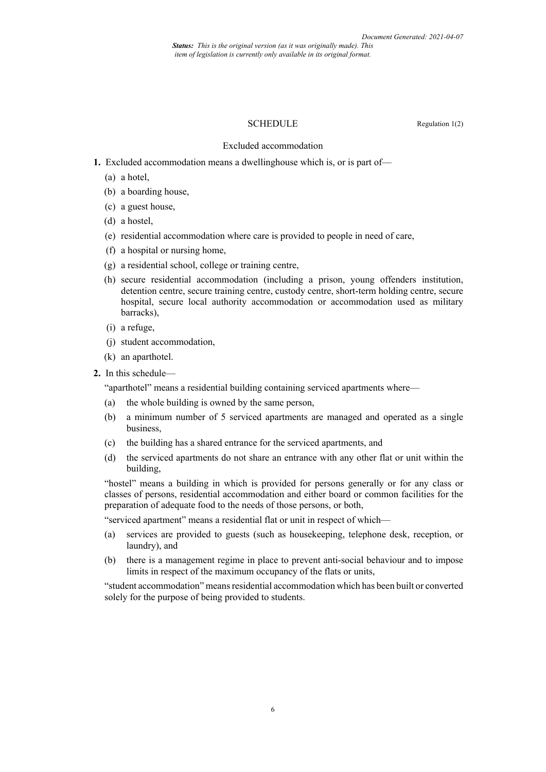*Status: This is the original version (as it was originally made). This item of legislation is currently only available in its original format.*

#### SCHEDULE Regulation 1(2)

Excluded accommodation

- **1.** Excluded accommodation means a dwellinghouse which is, or is part of—
	- (a) a hotel,
	- (b) a boarding house,
	- (c) a guest house,
	- (d) a hostel,
	- (e) residential accommodation where care is provided to people in need of care,
	- (f) a hospital or nursing home,
	- (g) a residential school, college or training centre,
	- (h) secure residential accommodation (including a prison, young offenders institution, detention centre, secure training centre, custody centre, short-term holding centre, secure hospital, secure local authority accommodation or accommodation used as military barracks),
	- (i) a refuge,
	- (j) student accommodation,
	- (k) an aparthotel.
- **2.** In this schedule—

"aparthotel" means a residential building containing serviced apartments where—

- (a) the whole building is owned by the same person,
- (b) a minimum number of 5 serviced apartments are managed and operated as a single business,
- (c) the building has a shared entrance for the serviced apartments, and
- (d) the serviced apartments do not share an entrance with any other flat or unit within the building,

"hostel" means a building in which is provided for persons generally or for any class or classes of persons, residential accommodation and either board or common facilities for the preparation of adequate food to the needs of those persons, or both,

"serviced apartment" means a residential flat or unit in respect of which—

- (a) services are provided to guests (such as housekeeping, telephone desk, reception, or laundry), and
- (b) there is a management regime in place to prevent anti-social behaviour and to impose limits in respect of the maximum occupancy of the flats or units,

"student accommodation" means residential accommodation which has been built or converted solely for the purpose of being provided to students.